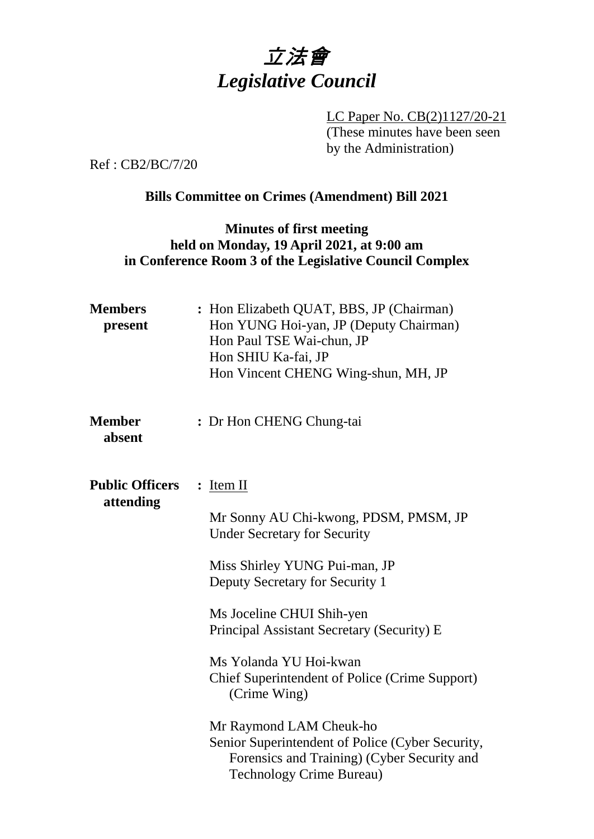

LC Paper No. CB(2)1127/20-21 (These minutes have been seen by the Administration)

Ref : CB2/BC/7/20

## **Bills Committee on Crimes (Amendment) Bill 2021**

### **Minutes of first meeting held on Monday, 19 April 2021, at 9:00 am in Conference Room 3 of the Legislative Council Complex**

| <b>Members</b><br>present | : Hon Elizabeth QUAT, BBS, JP (Chairman)<br>Hon YUNG Hoi-yan, JP (Deputy Chairman)<br>Hon Paul TSE Wai-chun, JP<br>Hon SHIU Ka-fai, JP<br>Hon Vincent CHENG Wing-shun, MH, JP |
|---------------------------|-------------------------------------------------------------------------------------------------------------------------------------------------------------------------------|
| <b>Member</b><br>absent   | : Dr Hon CHENG Chung-tai                                                                                                                                                      |
| <b>Public Officers</b>    | $:$ Item II                                                                                                                                                                   |
| attending                 | Mr Sonny AU Chi-kwong, PDSM, PMSM, JP<br><b>Under Secretary for Security</b>                                                                                                  |
|                           | Miss Shirley YUNG Pui-man, JP<br>Deputy Secretary for Security 1                                                                                                              |
|                           | Ms Joceline CHUI Shih-yen<br>Principal Assistant Secretary (Security) E                                                                                                       |
|                           | Ms Yolanda YU Hoi-kwan<br><b>Chief Superintendent of Police (Crime Support)</b><br>(Crime Wing)                                                                               |
|                           | Mr Raymond LAM Cheuk-ho<br>Senior Superintendent of Police (Cyber Security,<br>Forensics and Training) (Cyber Security and<br><b>Technology Crime Bureau)</b>                 |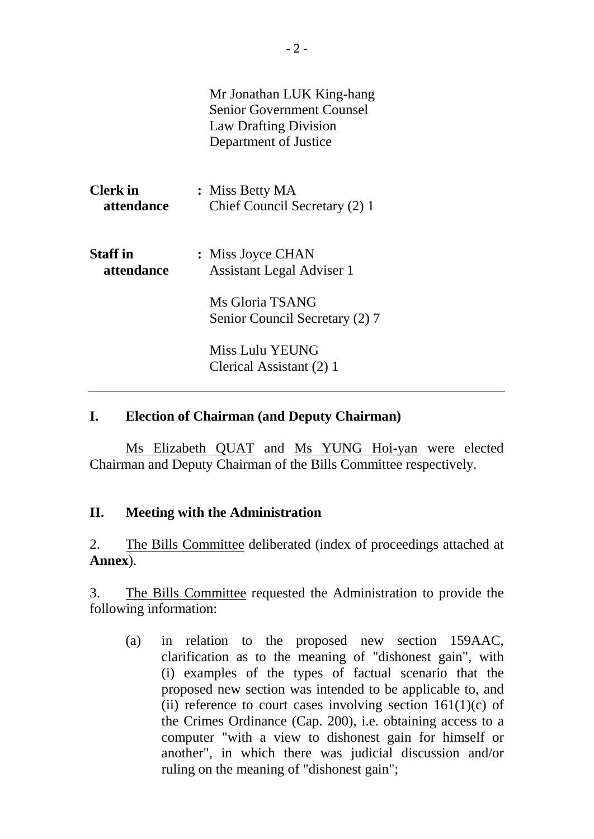|                               | Mr Jonathan LUK King-hang<br><b>Senior Government Counsel</b><br><b>Law Drafting Division</b><br>Department of Justice |
|-------------------------------|------------------------------------------------------------------------------------------------------------------------|
| <b>Clerk</b> in<br>attendance | : Miss Betty MA<br>Chief Council Secretary (2) 1                                                                       |
| <b>Staff</b> in<br>attendance | : Miss Joyce CHAN<br><b>Assistant Legal Adviser 1</b>                                                                  |
|                               | Ms Gloria TSANG<br>Senior Council Secretary (2) 7                                                                      |
|                               | Miss Lulu YEUNG<br>Clerical Assistant (2) 1                                                                            |

#### **I. Election of Chairman (and Deputy Chairman)**

Ms Elizabeth QUAT and Ms YUNG Hoi-yan were elected Chairman and Deputy Chairman of the Bills Committee respectively.

#### **II. Meeting with the Administration**

2. The Bills Committee deliberated (index of proceedings attached at **Annex**).

3. The Bills Committee requested the Administration to provide the following information:

(a) in relation to the proposed new section 159AAC, clarification as to the meaning of "dishonest gain", with (i) examples of the types of factual scenario that the proposed new section was intended to be applicable to, and (ii) reference to court cases involving section  $161(1)(c)$  of the Crimes Ordinance (Cap. 200), i.e. obtaining access to a computer "with a view to dishonest gain for himself or another", in which there was judicial discussion and/or ruling on the meaning of "dishonest gain";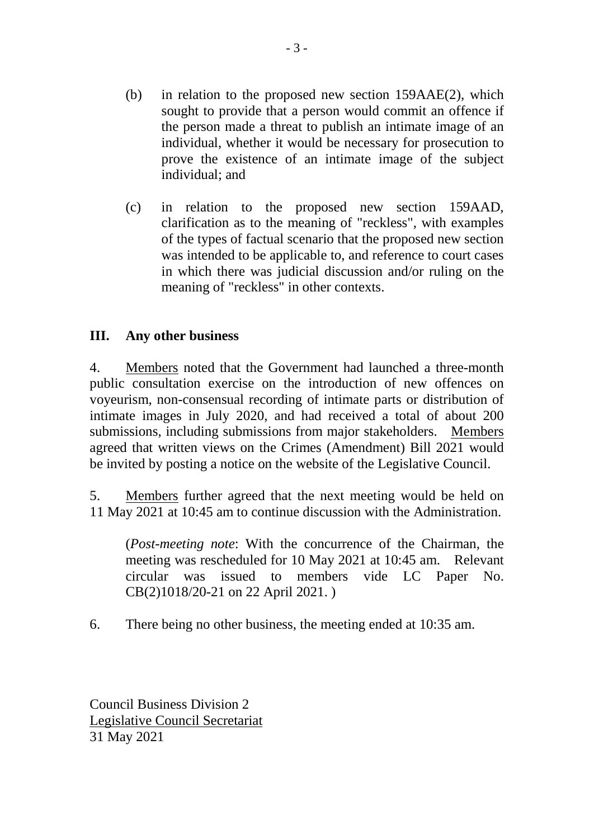- (b) in relation to the proposed new section 159AAE(2), which sought to provide that a person would commit an offence if the person made a threat to publish an intimate image of an individual, whether it would be necessary for prosecution to prove the existence of an intimate image of the subject individual; and
- (c) in relation to the proposed new section 159AAD, clarification as to the meaning of "reckless", with examples of the types of factual scenario that the proposed new section was intended to be applicable to, and reference to court cases in which there was judicial discussion and/or ruling on the meaning of "reckless" in other contexts.

## **III. Any other business**

4. Members noted that the Government had launched a three-month public consultation exercise on the introduction of new offences on voyeurism, non-consensual recording of intimate parts or distribution of intimate images in July 2020, and had received a total of about 200 submissions, including submissions from major stakeholders. Members agreed that written views on the Crimes (Amendment) Bill 2021 would be invited by posting a notice on the website of the Legislative Council.

5. Members further agreed that the next meeting would be held on 11 May 2021 at 10:45 am to continue discussion with the Administration.

(*Post-meeting note*: With the concurrence of the Chairman, the meeting was rescheduled for 10 May 2021 at 10:45 am. Relevant circular was issued to members vide LC Paper No. CB(2)1018/20-21 on 22 April 2021. )

6. There being no other business, the meeting ended at 10:35 am.

Council Business Division 2 Legislative Council Secretariat 31 May 2021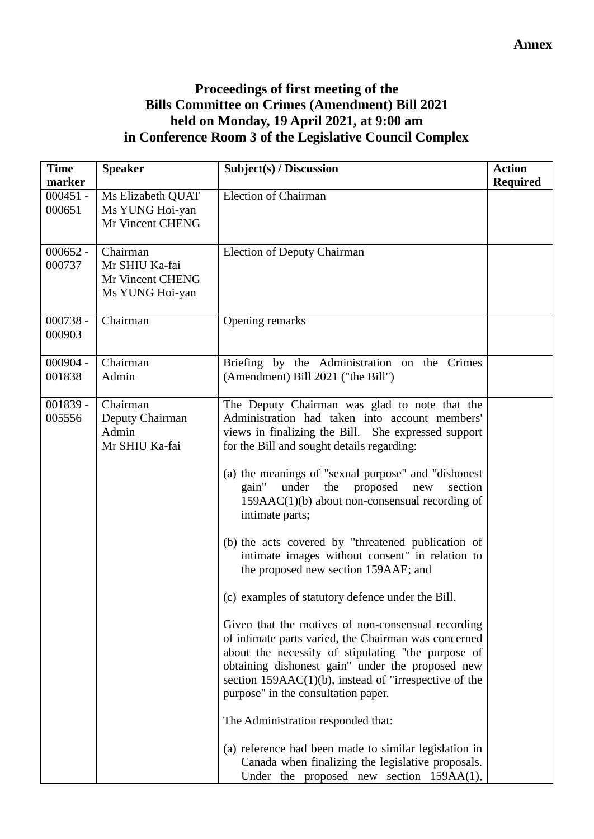# **Proceedings of first meeting of the Bills Committee on Crimes (Amendment) Bill 2021 held on Monday, 19 April 2021, at 9:00 am in Conference Room 3 of the Legislative Council Complex**

| <b>Time</b>          | <b>Speaker</b>                                                    | Subject(s) / Discussion                                                                                                                                                                                                                                                                                                                                                                                                                                                                                                                                                                                                                                                                                                                                                                                                                                                                                                                                                                                                                                                                                                           | <b>Action</b>   |
|----------------------|-------------------------------------------------------------------|-----------------------------------------------------------------------------------------------------------------------------------------------------------------------------------------------------------------------------------------------------------------------------------------------------------------------------------------------------------------------------------------------------------------------------------------------------------------------------------------------------------------------------------------------------------------------------------------------------------------------------------------------------------------------------------------------------------------------------------------------------------------------------------------------------------------------------------------------------------------------------------------------------------------------------------------------------------------------------------------------------------------------------------------------------------------------------------------------------------------------------------|-----------------|
| marker               |                                                                   |                                                                                                                                                                                                                                                                                                                                                                                                                                                                                                                                                                                                                                                                                                                                                                                                                                                                                                                                                                                                                                                                                                                                   | <b>Required</b> |
| $000451 -$<br>000651 | Ms Elizabeth QUAT<br>Ms YUNG Hoi-yan<br>Mr Vincent CHENG          | <b>Election of Chairman</b>                                                                                                                                                                                                                                                                                                                                                                                                                                                                                                                                                                                                                                                                                                                                                                                                                                                                                                                                                                                                                                                                                                       |                 |
| $000652 -$<br>000737 | Chairman<br>Mr SHIU Ka-fai<br>Mr Vincent CHENG<br>Ms YUNG Hoi-yan | <b>Election of Deputy Chairman</b>                                                                                                                                                                                                                                                                                                                                                                                                                                                                                                                                                                                                                                                                                                                                                                                                                                                                                                                                                                                                                                                                                                |                 |
| $000738 -$<br>000903 | Chairman                                                          | Opening remarks                                                                                                                                                                                                                                                                                                                                                                                                                                                                                                                                                                                                                                                                                                                                                                                                                                                                                                                                                                                                                                                                                                                   |                 |
| $000904 -$<br>001838 | Chairman<br>Admin                                                 | Briefing by the Administration on the<br>Crimes<br>(Amendment) Bill 2021 ("the Bill")                                                                                                                                                                                                                                                                                                                                                                                                                                                                                                                                                                                                                                                                                                                                                                                                                                                                                                                                                                                                                                             |                 |
| $001839 -$<br>005556 | Chairman<br>Deputy Chairman<br>Admin<br>Mr SHIU Ka-fai            | The Deputy Chairman was glad to note that the<br>Administration had taken into account members'<br>views in finalizing the Bill.<br>She expressed support<br>for the Bill and sought details regarding:<br>(a) the meanings of "sexual purpose" and "dishonest"<br>under<br>the<br>proposed<br>gain"<br>new<br>section<br>$159AAC(1)(b)$ about non-consensual recording of<br>intimate parts;<br>(b) the acts covered by "threatened publication of<br>intimate images without consent" in relation to<br>the proposed new section 159AAE; and<br>(c) examples of statutory defence under the Bill.<br>Given that the motives of non-consensual recording<br>of intimate parts varied, the Chairman was concerned<br>about the necessity of stipulating "the purpose of<br>obtaining dishonest gain" under the proposed new<br>section $159AAC(1)(b)$ , instead of "irrespective of the<br>purpose" in the consultation paper.<br>The Administration responded that:<br>(a) reference had been made to similar legislation in<br>Canada when finalizing the legislative proposals.<br>Under the proposed new section $159AA(1)$ , |                 |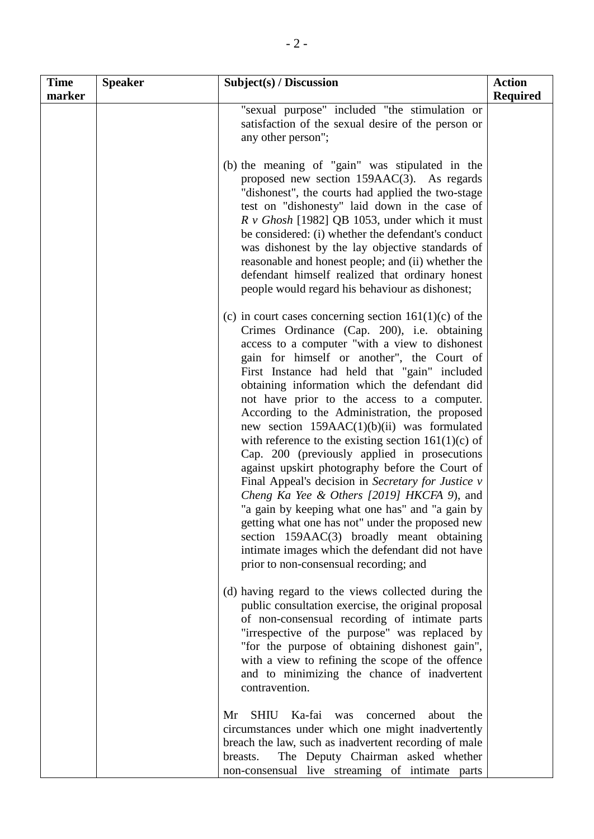| <b>Time</b><br>marker | <b>Speaker</b> | Subject(s) / Discussion                                                                                                                                                                                                                                                                                                                                                                                                                                                                                                                                                                                                                                                                                                                                                                                                                                                                                                                                                     | <b>Action</b><br><b>Required</b> |
|-----------------------|----------------|-----------------------------------------------------------------------------------------------------------------------------------------------------------------------------------------------------------------------------------------------------------------------------------------------------------------------------------------------------------------------------------------------------------------------------------------------------------------------------------------------------------------------------------------------------------------------------------------------------------------------------------------------------------------------------------------------------------------------------------------------------------------------------------------------------------------------------------------------------------------------------------------------------------------------------------------------------------------------------|----------------------------------|
|                       |                | "sexual purpose" included "the stimulation or<br>satisfaction of the sexual desire of the person or<br>any other person";                                                                                                                                                                                                                                                                                                                                                                                                                                                                                                                                                                                                                                                                                                                                                                                                                                                   |                                  |
|                       |                | (b) the meaning of "gain" was stipulated in the<br>proposed new section $159AAC(3)$ . As regards<br>"dishonest", the courts had applied the two-stage<br>test on "dishonesty" laid down in the case of<br>$R \text{ v}$ Ghosh [1982] QB 1053, under which it must<br>be considered: (i) whether the defendant's conduct<br>was dishonest by the lay objective standards of<br>reasonable and honest people; and (ii) whether the<br>defendant himself realized that ordinary honest<br>people would regard his behaviour as dishonest;                                                                                                                                                                                                                                                                                                                                                                                                                                      |                                  |
|                       |                | (c) in court cases concerning section $161(1)(c)$ of the<br>Crimes Ordinance (Cap. 200), i.e. obtaining<br>access to a computer "with a view to dishonest<br>gain for himself or another", the Court of<br>First Instance had held that "gain" included<br>obtaining information which the defendant did<br>not have prior to the access to a computer.<br>According to the Administration, the proposed<br>new section $159AAC(1)(b)(ii)$ was formulated<br>with reference to the existing section $161(1)(c)$ of<br>Cap. 200 (previously applied in prosecutions<br>against upskirt photography before the Court of<br>Final Appeal's decision in Secretary for Justice v<br>Cheng Ka Yee & Others [2019] HKCFA 9), and<br>"a gain by keeping what one has" and "a gain by<br>getting what one has not" under the proposed new<br>section 159AAC(3) broadly meant obtaining<br>intimate images which the defendant did not have<br>prior to non-consensual recording; and |                                  |
|                       |                | (d) having regard to the views collected during the<br>public consultation exercise, the original proposal<br>of non-consensual recording of intimate parts<br>"irrespective of the purpose" was replaced by<br>"for the purpose of obtaining dishonest gain",<br>with a view to refining the scope of the offence<br>and to minimizing the chance of inadvertent<br>contravention.                                                                                                                                                                                                                                                                                                                                                                                                                                                                                                                                                                                         |                                  |
|                       |                | <b>SHIU</b><br>Ka-fai<br>Mr<br>was<br>concerned<br>about<br>the<br>circumstances under which one might inadvertently<br>breach the law, such as inadvertent recording of male<br>The Deputy Chairman asked whether<br>breasts.<br>non-consensual live streaming of intimate parts                                                                                                                                                                                                                                                                                                                                                                                                                                                                                                                                                                                                                                                                                           |                                  |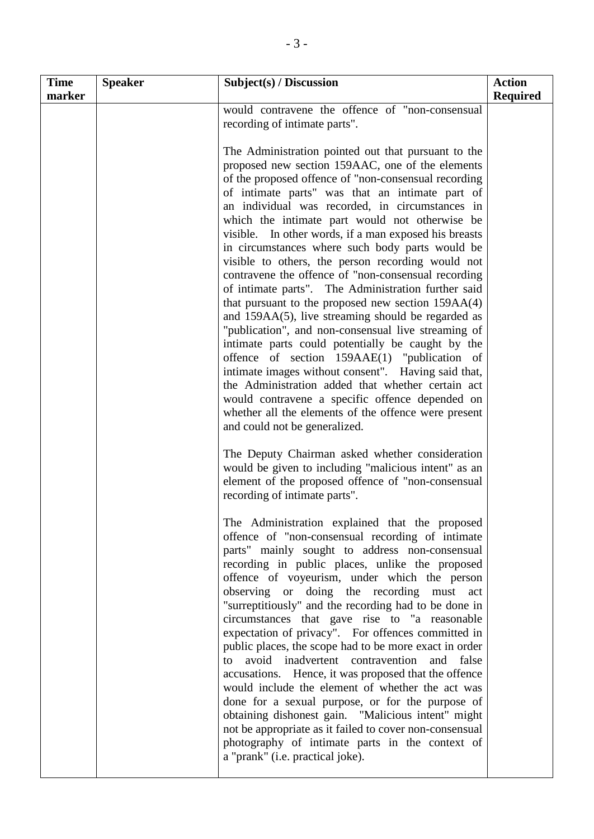| <b>Time</b><br>marker | <b>Speaker</b> | Subject(s) / Discussion                                                                                                                                                                                                                                                                                                                                                                                                                                                                                                                                                                                                                                                                                                                                                                                                                                                                                                                                                                                                                                                                                                                  | <b>Action</b><br><b>Required</b> |
|-----------------------|----------------|------------------------------------------------------------------------------------------------------------------------------------------------------------------------------------------------------------------------------------------------------------------------------------------------------------------------------------------------------------------------------------------------------------------------------------------------------------------------------------------------------------------------------------------------------------------------------------------------------------------------------------------------------------------------------------------------------------------------------------------------------------------------------------------------------------------------------------------------------------------------------------------------------------------------------------------------------------------------------------------------------------------------------------------------------------------------------------------------------------------------------------------|----------------------------------|
|                       |                | would contravene the offence of "non-consensual<br>recording of intimate parts".                                                                                                                                                                                                                                                                                                                                                                                                                                                                                                                                                                                                                                                                                                                                                                                                                                                                                                                                                                                                                                                         |                                  |
|                       |                | The Administration pointed out that pursuant to the<br>proposed new section 159AAC, one of the elements<br>of the proposed offence of "non-consensual recording<br>of intimate parts" was that an intimate part of<br>an individual was recorded, in circumstances in<br>which the intimate part would not otherwise be<br>visible. In other words, if a man exposed his breasts<br>in circumstances where such body parts would be<br>visible to others, the person recording would not<br>contravene the offence of "non-consensual recording<br>of intimate parts". The Administration further said<br>that pursuant to the proposed new section $159AA(4)$<br>and 159AA(5), live streaming should be regarded as<br>"publication", and non-consensual live streaming of<br>intimate parts could potentially be caught by the<br>offence of section 159AAE(1) "publication of<br>intimate images without consent". Having said that,<br>the Administration added that whether certain act<br>would contravene a specific offence depended on<br>whether all the elements of the offence were present<br>and could not be generalized. |                                  |
|                       |                | The Deputy Chairman asked whether consideration<br>would be given to including "malicious intent" as an<br>element of the proposed offence of "non-consensual<br>recording of intimate parts".                                                                                                                                                                                                                                                                                                                                                                                                                                                                                                                                                                                                                                                                                                                                                                                                                                                                                                                                           |                                  |
|                       |                | The Administration explained that the proposed<br>offence of "non-consensual recording of intimate<br>parts" mainly sought to address non-consensual<br>recording in public places, unlike the proposed<br>offence of voyeurism, under which the person<br>observing or doing the recording must act<br>"surreptitiously" and the recording had to be done in<br>circumstances that gave rise to "a reasonable<br>expectation of privacy". For offences committed in<br>public places, the scope had to be more exact in order<br>avoid inadvertent contravention<br>and<br>to<br>false<br>accusations. Hence, it was proposed that the offence<br>would include the element of whether the act was<br>done for a sexual purpose, or for the purpose of<br>obtaining dishonest gain. "Malicious intent" might<br>not be appropriate as it failed to cover non-consensual<br>photography of intimate parts in the context of<br>a "prank" (i.e. practical joke).                                                                                                                                                                          |                                  |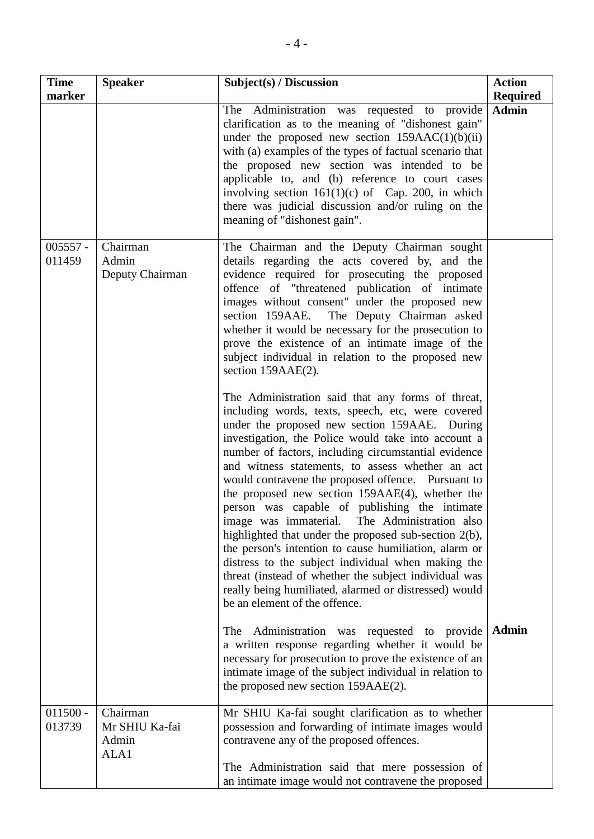| <b>Time</b><br>marker | <b>Speaker</b>                              | Subject(s) / Discussion                                                                                                                                                                                                                                                                                                                                                                                                                                                                                                                                                                                                                                                                                                                                                                                                                                                                                                                                                                                                                                                                                                                                                                                                                                                                                                                                        | <b>Action</b><br><b>Required</b> |
|-----------------------|---------------------------------------------|----------------------------------------------------------------------------------------------------------------------------------------------------------------------------------------------------------------------------------------------------------------------------------------------------------------------------------------------------------------------------------------------------------------------------------------------------------------------------------------------------------------------------------------------------------------------------------------------------------------------------------------------------------------------------------------------------------------------------------------------------------------------------------------------------------------------------------------------------------------------------------------------------------------------------------------------------------------------------------------------------------------------------------------------------------------------------------------------------------------------------------------------------------------------------------------------------------------------------------------------------------------------------------------------------------------------------------------------------------------|----------------------------------|
|                       |                                             | The Administration was requested to provide<br>clarification as to the meaning of "dishonest gain"<br>under the proposed new section $159AAC(1)(b)(ii)$<br>with (a) examples of the types of factual scenario that<br>the proposed new section was intended to be<br>applicable to, and (b) reference to court cases<br>involving section $161(1)(c)$ of Cap. 200, in which<br>there was judicial discussion and/or ruling on the<br>meaning of "dishonest gain".                                                                                                                                                                                                                                                                                                                                                                                                                                                                                                                                                                                                                                                                                                                                                                                                                                                                                              | <b>Admin</b>                     |
| $005557 -$<br>011459  | Chairman<br>Admin<br>Deputy Chairman        | The Chairman and the Deputy Chairman sought<br>details regarding the acts covered by, and the<br>evidence required for prosecuting the proposed<br>offence of "threatened publication of intimate<br>images without consent" under the proposed new<br>The Deputy Chairman asked<br>section 159AAE.<br>whether it would be necessary for the prosecution to<br>prove the existence of an intimate image of the<br>subject individual in relation to the proposed new<br>section 159AAE(2).<br>The Administration said that any forms of threat,<br>including words, texts, speech, etc, were covered<br>under the proposed new section 159AAE. During<br>investigation, the Police would take into account a<br>number of factors, including circumstantial evidence<br>and witness statements, to assess whether an act<br>would contravene the proposed offence. Pursuant to<br>the proposed new section 159AAE(4), whether the<br>person was capable of publishing the intimate<br>image was immaterial. The Administration also<br>highlighted that under the proposed sub-section 2(b),<br>the person's intention to cause humiliation, alarm or<br>distress to the subject individual when making the<br>threat (instead of whether the subject individual was<br>really being humiliated, alarmed or distressed) would<br>be an element of the offence. |                                  |
|                       |                                             | The<br>Administration was requested to provide<br>a written response regarding whether it would be<br>necessary for prosecution to prove the existence of an<br>intimate image of the subject individual in relation to<br>the proposed new section 159AAE(2).                                                                                                                                                                                                                                                                                                                                                                                                                                                                                                                                                                                                                                                                                                                                                                                                                                                                                                                                                                                                                                                                                                 | <b>Admin</b>                     |
| $011500 -$<br>013739  | Chairman<br>Mr SHIU Ka-fai<br>Admin<br>ALA1 | Mr SHIU Ka-fai sought clarification as to whether<br>possession and forwarding of intimate images would<br>contravene any of the proposed offences.<br>The Administration said that mere possession of<br>an intimate image would not contravene the proposed                                                                                                                                                                                                                                                                                                                                                                                                                                                                                                                                                                                                                                                                                                                                                                                                                                                                                                                                                                                                                                                                                                  |                                  |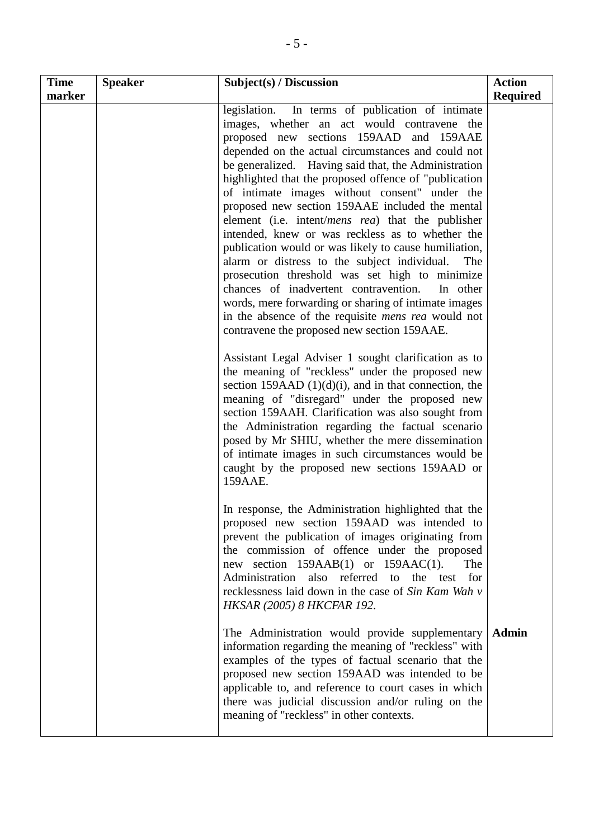| <b>Time</b> | <b>Speaker</b> | Subject(s) / Discussion                                                                                                                                                                                                                                                                                                                                                                                                                                                                                                                                                                                                                                                                                                                                                                                                                                                                                                             | <b>Action</b>   |
|-------------|----------------|-------------------------------------------------------------------------------------------------------------------------------------------------------------------------------------------------------------------------------------------------------------------------------------------------------------------------------------------------------------------------------------------------------------------------------------------------------------------------------------------------------------------------------------------------------------------------------------------------------------------------------------------------------------------------------------------------------------------------------------------------------------------------------------------------------------------------------------------------------------------------------------------------------------------------------------|-----------------|
| marker      |                | legislation. In terms of publication of intimate<br>images, whether an act would contravene the<br>proposed new sections 159AAD and 159AAE<br>depended on the actual circumstances and could not<br>be generalized. Having said that, the Administration<br>highlighted that the proposed offence of "publication"<br>of intimate images without consent" under the<br>proposed new section 159AAE included the mental<br>element (i.e. intent/ <i>mens rea</i> ) that the publisher<br>intended, knew or was reckless as to whether the<br>publication would or was likely to cause humiliation,<br>alarm or distress to the subject individual.<br>The<br>prosecution threshold was set high to minimize<br>chances of inadvertent contravention.<br>In other<br>words, mere forwarding or sharing of intimate images<br>in the absence of the requisite <i>mens rea</i> would not<br>contravene the proposed new section 159AAE. | <b>Required</b> |
|             |                | Assistant Legal Adviser 1 sought clarification as to<br>the meaning of "reckless" under the proposed new<br>section 159AAD $(1)(d)(i)$ , and in that connection, the<br>meaning of "disregard" under the proposed new<br>section 159AAH. Clarification was also sought from<br>the Administration regarding the factual scenario<br>posed by Mr SHIU, whether the mere dissemination<br>of intimate images in such circumstances would be<br>caught by the proposed new sections 159AAD or<br>159AAE.                                                                                                                                                                                                                                                                                                                                                                                                                               |                 |
|             |                | In response, the Administration highlighted that the<br>proposed new section 159AAD was intended to<br>prevent the publication of images originating from<br>the commission of offence under the proposed<br>new section $159AAB(1)$ or $159AAC(1)$ .<br>The<br>Administration also referred to the test for<br>recklessness laid down in the case of Sin Kam Wah v<br><b>HKSAR (2005) 8 HKCFAR 192.</b>                                                                                                                                                                                                                                                                                                                                                                                                                                                                                                                            |                 |
|             |                | The Administration would provide supplementary<br>information regarding the meaning of "reckless" with<br>examples of the types of factual scenario that the<br>proposed new section 159AAD was intended to be<br>applicable to, and reference to court cases in which<br>there was judicial discussion and/or ruling on the<br>meaning of "reckless" in other contexts.                                                                                                                                                                                                                                                                                                                                                                                                                                                                                                                                                            | Admin           |